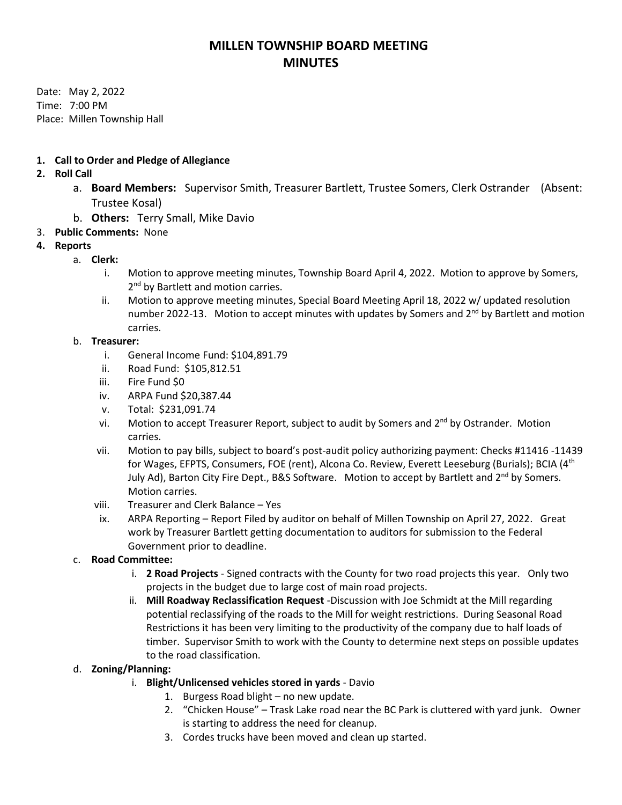# **MILLEN TOWNSHIP BOARD MEETING MINUTES**

Date: May 2, 2022 Time: 7:00 PM Place: Millen Township Hall

### **1. Call to Order and Pledge of Allegiance**

## **2. Roll Call**

- a. **Board Members:** Supervisor Smith, Treasurer Bartlett, Trustee Somers, Clerk Ostrander (Absent: Trustee Kosal)
- b. **Others:** Terry Small, Mike Davio
- 3. **Public Comments:** None

## **4. Reports**

- a. **Clerk:** 
	- i. Motion to approve meeting minutes, Township Board April 4, 2022. Motion to approve by Somers, 2<sup>nd</sup> by Bartlett and motion carries.
	- ii. Motion to approve meeting minutes, Special Board Meeting April 18, 2022 w/ updated resolution number 2022-13. Motion to accept minutes with updates by Somers and 2<sup>nd</sup> by Bartlett and motion carries.

#### b. **Treasurer:**

- i. General Income Fund: \$104,891.79
- ii. Road Fund: \$105,812.51
- iii. Fire Fund \$0
- iv. ARPA Fund \$20,387.44
- v. Total: \$231,091.74
- vi. Motion to accept Treasurer Report, subject to audit by Somers and  $2^{nd}$  by Ostrander. Motion carries.
- vii. Motion to pay bills, subject to board's post-audit policy authorizing payment: Checks #11416 -11439 for Wages, EFPTS, Consumers, FOE (rent), Alcona Co. Review, Everett Leeseburg (Burials); BCIA (4<sup>th</sup> July Ad), Barton City Fire Dept., B&S Software. Motion to accept by Bartlett and  $2^{nd}$  by Somers. Motion carries.
- viii. Treasurer and Clerk Balance Yes
- ix. ARPA Reporting Report Filed by auditor on behalf of Millen Township on April 27, 2022. Great work by Treasurer Bartlett getting documentation to auditors for submission to the Federal Government prior to deadline.
- c. **Road Committee:**
	- i. **2 Road Projects** Signed contracts with the County for two road projects this year. Only two projects in the budget due to large cost of main road projects.
	- ii. **Mill Roadway Reclassification Request** -Discussion with Joe Schmidt at the Mill regarding potential reclassifying of the roads to the Mill for weight restrictions. During Seasonal Road Restrictions it has been very limiting to the productivity of the company due to half loads of timber. Supervisor Smith to work with the County to determine next steps on possible updates to the road classification.

#### d. **Zoning/Planning:**

- i. **Blight/Unlicensed vehicles stored in yards** Davio
	- 1. Burgess Road blight no new update.
	- 2. "Chicken House" Trask Lake road near the BC Park is cluttered with yard junk. Owner is starting to address the need for cleanup.
	- 3. Cordes trucks have been moved and clean up started.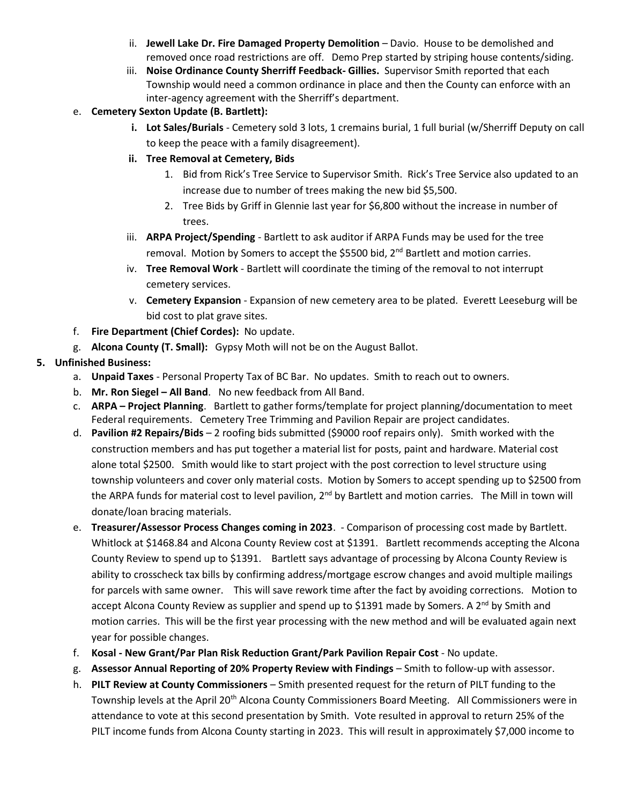- ii. **Jewell Lake Dr. Fire Damaged Property Demolition** Davio. House to be demolished and removed once road restrictions are off. Demo Prep started by striping house contents/siding.
- iii. **Noise Ordinance County Sherriff Feedback- Gillies.** Supervisor Smith reported that each Township would need a common ordinance in place and then the County can enforce with an inter-agency agreement with the Sherriff's department.
- e. **Cemetery Sexton Update (B. Bartlett):** 
	- **i. Lot Sales/Burials** Cemetery sold 3 lots, 1 cremains burial, 1 full burial (w/Sherriff Deputy on call to keep the peace with a family disagreement).
	- **ii. Tree Removal at Cemetery, Bids**
		- 1. Bid from Rick's Tree Service to Supervisor Smith. Rick's Tree Service also updated to an increase due to number of trees making the new bid \$5,500.
		- 2. Tree Bids by Griff in Glennie last year for \$6,800 without the increase in number of trees.
	- iii. **ARPA Project/Spending** Bartlett to ask auditor if ARPA Funds may be used for the tree removal. Motion by Somers to accept the \$5500 bid, 2<sup>nd</sup> Bartlett and motion carries.
	- iv. **Tree Removal Work** Bartlett will coordinate the timing of the removal to not interrupt cemetery services.
	- v. **Cemetery Expansion** Expansion of new cemetery area to be plated. Everett Leeseburg will be bid cost to plat grave sites.
- f. **Fire Department (Chief Cordes):** No update.
- g. **Alcona County (T. Small):** Gypsy Moth will not be on the August Ballot.
- **5. Unfinished Business:**
	- a. **Unpaid Taxes** Personal Property Tax of BC Bar. No updates. Smith to reach out to owners.
	- b. **Mr. Ron Siegel – All Band**. No new feedback from All Band.
	- c. **ARPA – Project Planning**. Bartlett to gather forms/template for project planning/documentation to meet Federal requirements. Cemetery Tree Trimming and Pavilion Repair are project candidates.
	- d. **Pavilion #2 Repairs/Bids** 2 roofing bids submitted (\$9000 roof repairs only). Smith worked with the construction members and has put together a material list for posts, paint and hardware. Material cost alone total \$2500. Smith would like to start project with the post correction to level structure using township volunteers and cover only material costs. Motion by Somers to accept spending up to \$2500 from the ARPA funds for material cost to level pavilion, 2<sup>nd</sup> by Bartlett and motion carries. The Mill in town will donate/loan bracing materials.
	- e. **Treasurer/Assessor Process Changes coming in 2023**. Comparison of processing cost made by Bartlett. Whitlock at \$1468.84 and Alcona County Review cost at \$1391. Bartlett recommends accepting the Alcona County Review to spend up to \$1391. Bartlett says advantage of processing by Alcona County Review is ability to crosscheck tax bills by confirming address/mortgage escrow changes and avoid multiple mailings for parcels with same owner. This will save rework time after the fact by avoiding corrections. Motion to accept Alcona County Review as supplier and spend up to \$1391 made by Somers. A 2<sup>nd</sup> by Smith and motion carries. This will be the first year processing with the new method and will be evaluated again next year for possible changes.
	- f. **Kosal - New Grant/Par Plan Risk Reduction Grant/Park Pavilion Repair Cost** No update.
	- g. **Assessor Annual Reporting of 20% Property Review with Findings** Smith to follow-up with assessor.
	- h. **PILT Review at County Commissioners** Smith presented request for the return of PILT funding to the Township levels at the April 20th Alcona County Commissioners Board Meeting. All Commissioners were in attendance to vote at this second presentation by Smith. Vote resulted in approval to return 25% of the PILT income funds from Alcona County starting in 2023. This will result in approximately \$7,000 income to